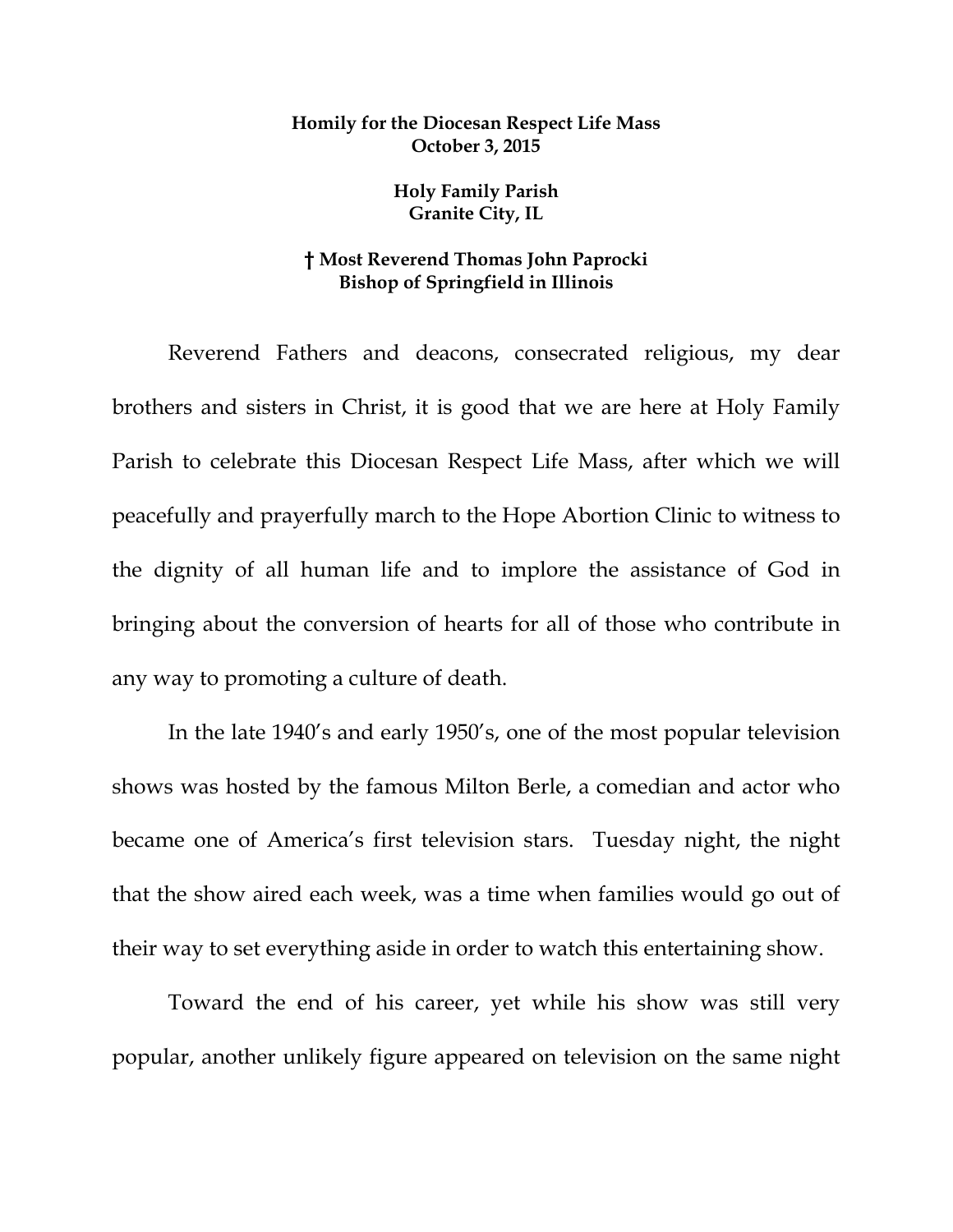## **Homily for the Diocesan Respect Life Mass October 3, 2015**

**Holy Family Parish Granite City, IL** 

## **† Most Reverend Thomas John Paprocki Bishop of Springfield in Illinois**

 Reverend Fathers and deacons, consecrated religious, my dear brothers and sisters in Christ, it is good that we are here at Holy Family Parish to celebrate this Diocesan Respect Life Mass, after which we will peacefully and prayerfully march to the Hope Abortion Clinic to witness to the dignity of all human life and to implore the assistance of God in bringing about the conversion of hearts for all of those who contribute in any way to promoting a culture of death.

 In the late 1940's and early 1950's, one of the most popular television shows was hosted by the famous Milton Berle, a comedian and actor who became one of America's first television stars. Tuesday night, the night that the show aired each week, was a time when families would go out of their way to set everything aside in order to watch this entertaining show.

 Toward the end of his career, yet while his show was still very popular, another unlikely figure appeared on television on the same night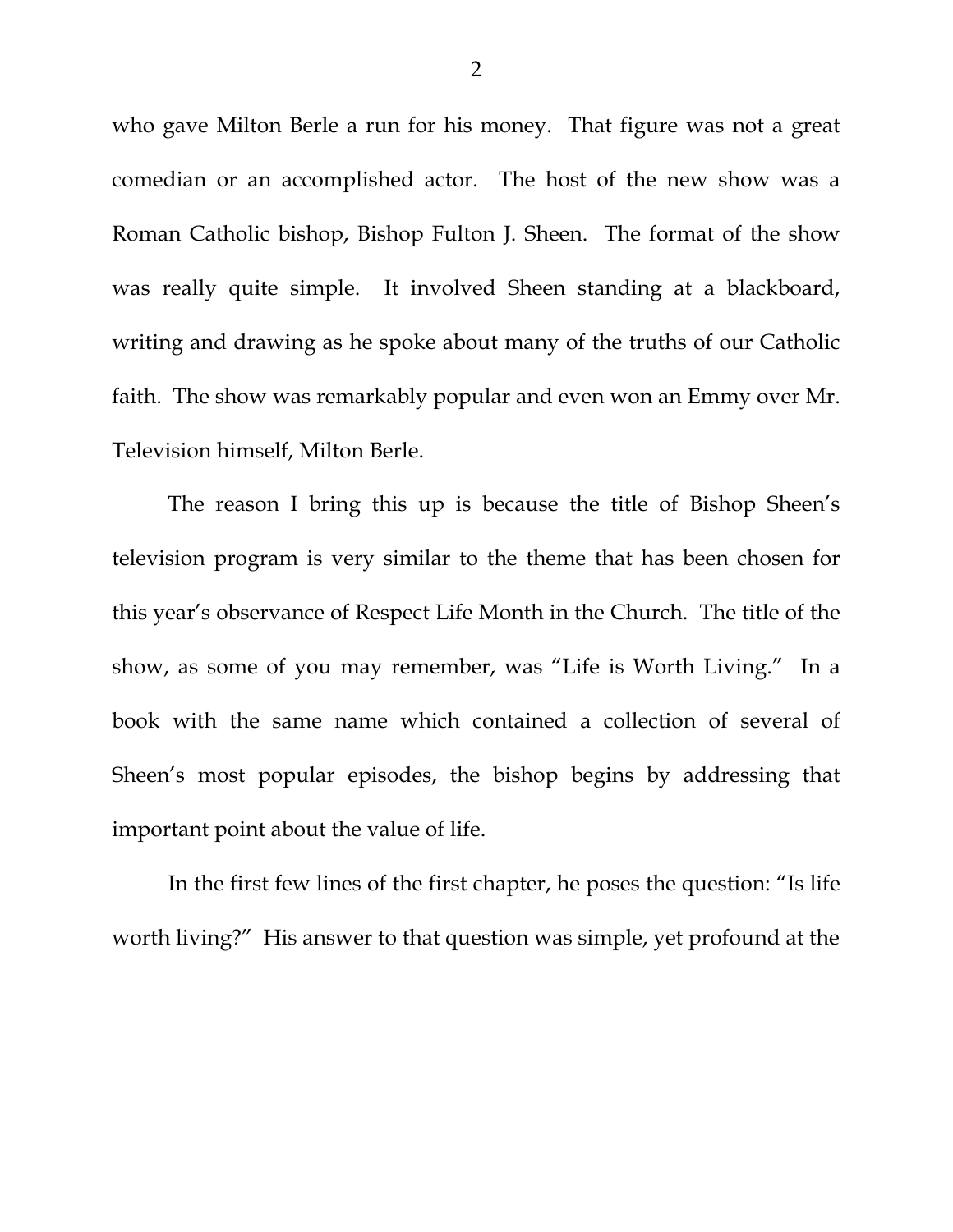who gave Milton Berle a run for his money. That figure was not a great comedian or an accomplished actor. The host of the new show was a Roman Catholic bishop, Bishop Fulton J. Sheen. The format of the show was really quite simple. It involved Sheen standing at a blackboard, writing and drawing as he spoke about many of the truths of our Catholic faith. The show was remarkably popular and even won an Emmy over Mr. Television himself, Milton Berle.

 The reason I bring this up is because the title of Bishop Sheen's television program is very similar to the theme that has been chosen for this year's observance of Respect Life Month in the Church. The title of the show, as some of you may remember, was "Life is Worth Living." In a book with the same name which contained a collection of several of Sheen's most popular episodes, the bishop begins by addressing that important point about the value of life.

 In the first few lines of the first chapter, he poses the question: "Is life worth living?" His answer to that question was simple, yet profound at the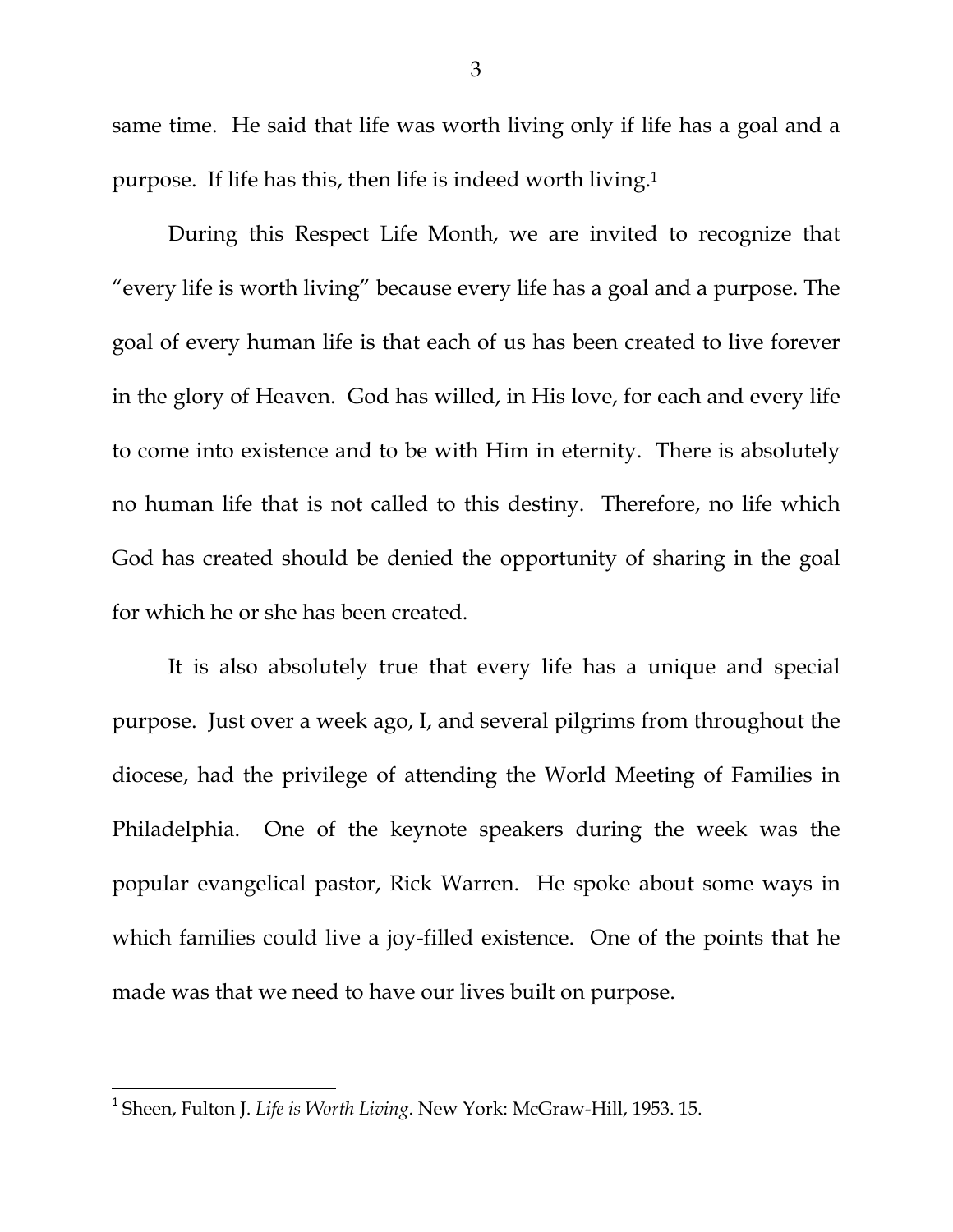same time. He said that life was worth living only if life has a goal and a purpose. If life has this, then life is indeed worth living.1

 During this Respect Life Month, we are invited to recognize that "every life is worth living" because every life has a goal and a purpose. The goal of every human life is that each of us has been created to live forever in the glory of Heaven. God has willed, in His love, for each and every life to come into existence and to be with Him in eternity. There is absolutely no human life that is not called to this destiny. Therefore, no life which God has created should be denied the opportunity of sharing in the goal for which he or she has been created.

 It is also absolutely true that every life has a unique and special purpose. Just over a week ago, I, and several pilgrims from throughout the diocese, had the privilege of attending the World Meeting of Families in Philadelphia. One of the keynote speakers during the week was the popular evangelical pastor, Rick Warren. He spoke about some ways in which families could live a joy-filled existence. One of the points that he made was that we need to have our lives built on purpose.

<sup>1</sup> Sheen, Fulton J. *Life is Worth Living*. New York: McGraw-Hill, 1953. 15.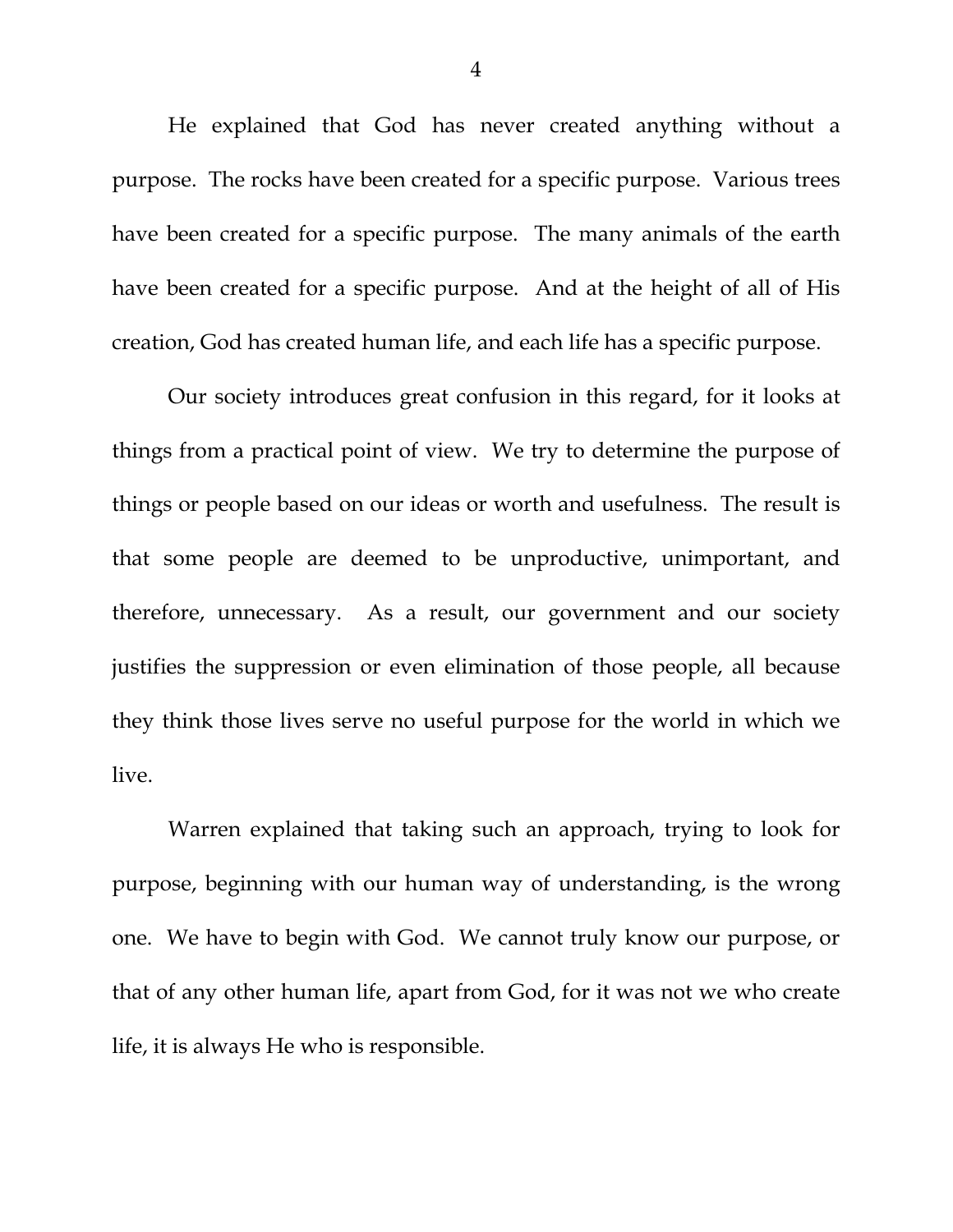He explained that God has never created anything without a purpose. The rocks have been created for a specific purpose. Various trees have been created for a specific purpose. The many animals of the earth have been created for a specific purpose. And at the height of all of His creation, God has created human life, and each life has a specific purpose.

 Our society introduces great confusion in this regard, for it looks at things from a practical point of view. We try to determine the purpose of things or people based on our ideas or worth and usefulness. The result is that some people are deemed to be unproductive, unimportant, and therefore, unnecessary. As a result, our government and our society justifies the suppression or even elimination of those people, all because they think those lives serve no useful purpose for the world in which we live.

 Warren explained that taking such an approach, trying to look for purpose, beginning with our human way of understanding, is the wrong one. We have to begin with God. We cannot truly know our purpose, or that of any other human life, apart from God, for it was not we who create life, it is always He who is responsible.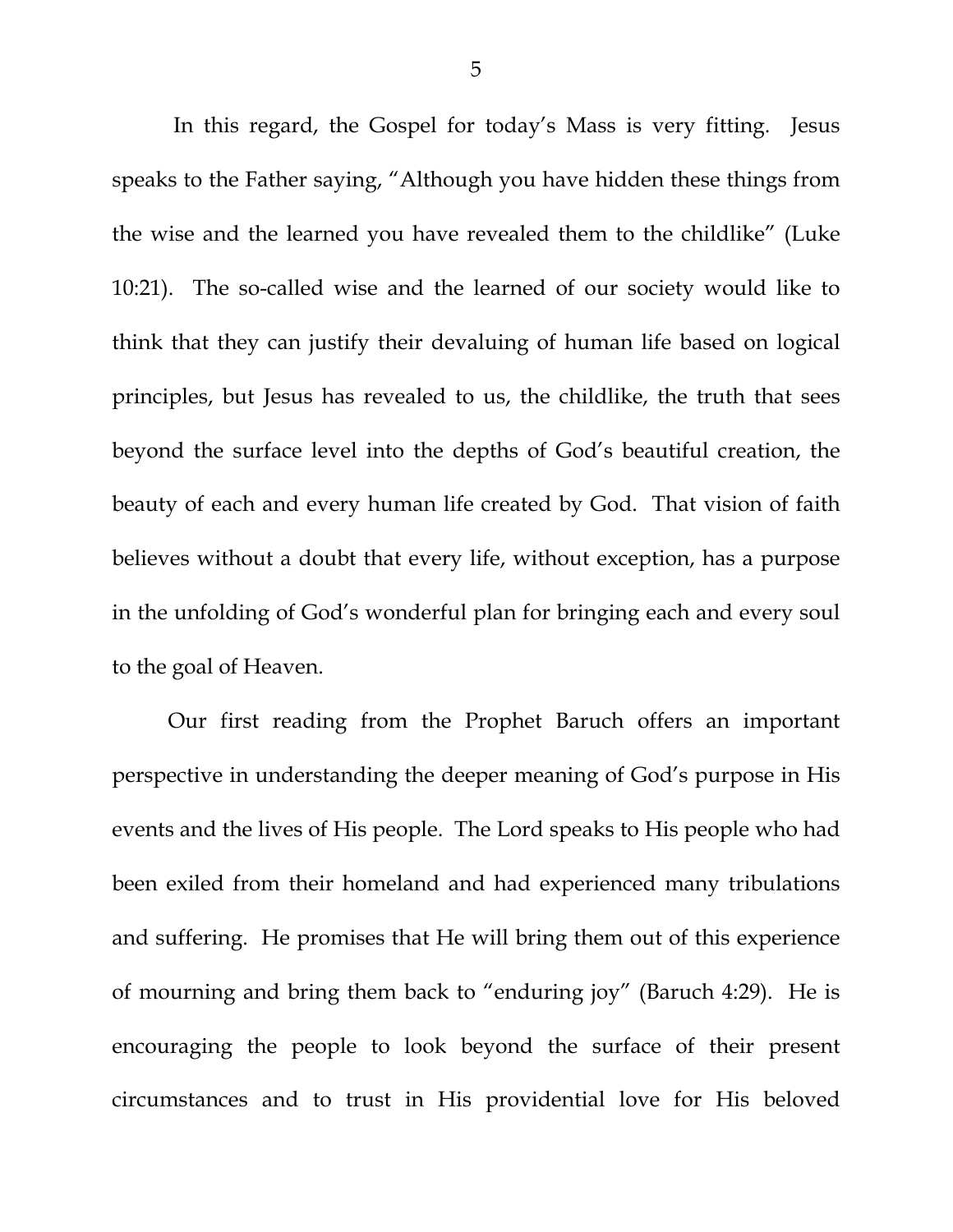In this regard, the Gospel for today's Mass is very fitting. Jesus speaks to the Father saying, "Although you have hidden these things from the wise and the learned you have revealed them to the childlike" (Luke 10:21). The so-called wise and the learned of our society would like to think that they can justify their devaluing of human life based on logical principles, but Jesus has revealed to us, the childlike, the truth that sees beyond the surface level into the depths of God's beautiful creation, the beauty of each and every human life created by God. That vision of faith believes without a doubt that every life, without exception, has a purpose in the unfolding of God's wonderful plan for bringing each and every soul to the goal of Heaven.

 Our first reading from the Prophet Baruch offers an important perspective in understanding the deeper meaning of God's purpose in His events and the lives of His people. The Lord speaks to His people who had been exiled from their homeland and had experienced many tribulations and suffering. He promises that He will bring them out of this experience of mourning and bring them back to "enduring joy" (Baruch 4:29). He is encouraging the people to look beyond the surface of their present circumstances and to trust in His providential love for His beloved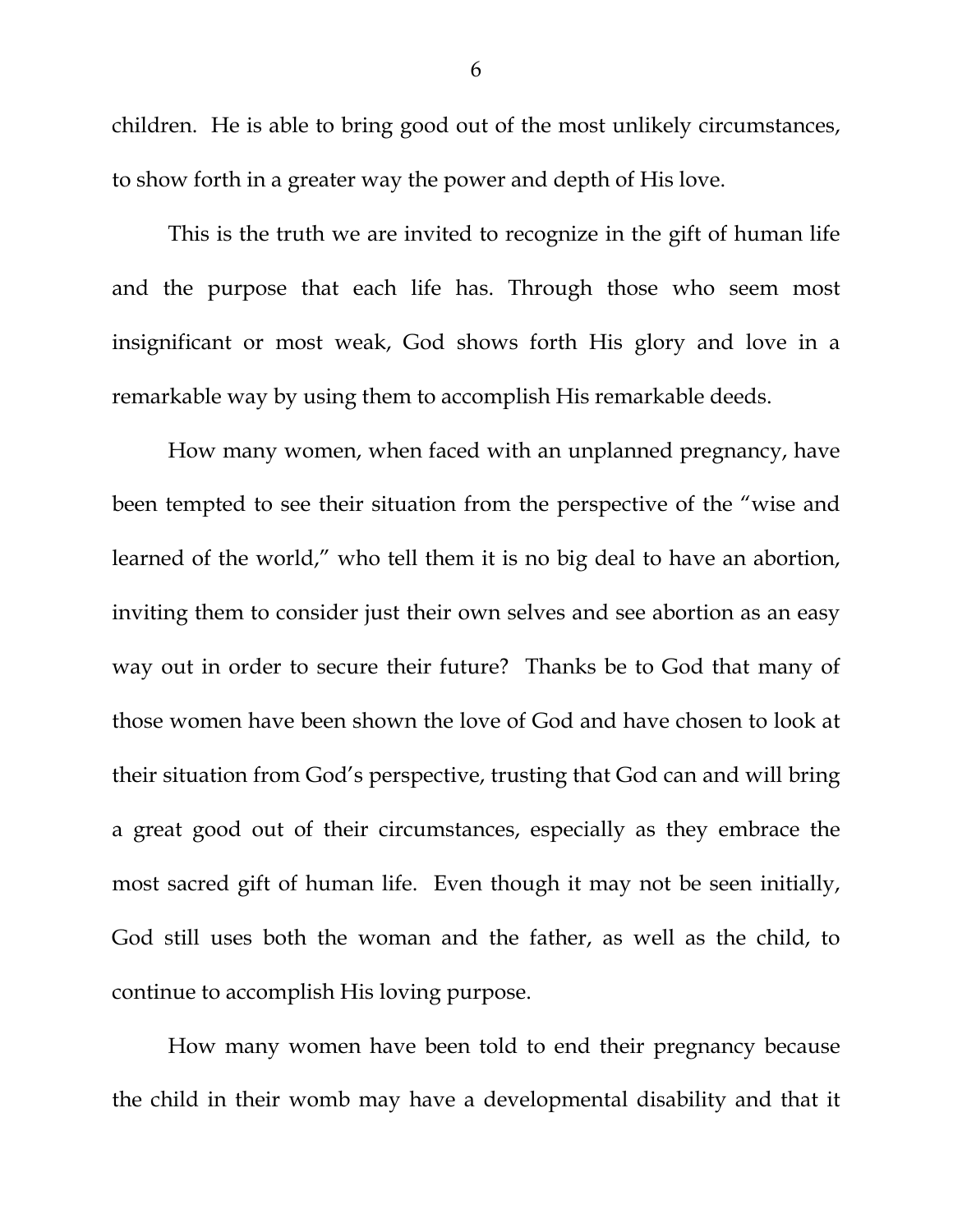children. He is able to bring good out of the most unlikely circumstances, to show forth in a greater way the power and depth of His love.

 This is the truth we are invited to recognize in the gift of human life and the purpose that each life has. Through those who seem most insignificant or most weak, God shows forth His glory and love in a remarkable way by using them to accomplish His remarkable deeds.

 How many women, when faced with an unplanned pregnancy, have been tempted to see their situation from the perspective of the "wise and learned of the world," who tell them it is no big deal to have an abortion, inviting them to consider just their own selves and see abortion as an easy way out in order to secure their future? Thanks be to God that many of those women have been shown the love of God and have chosen to look at their situation from God's perspective, trusting that God can and will bring a great good out of their circumstances, especially as they embrace the most sacred gift of human life. Even though it may not be seen initially, God still uses both the woman and the father, as well as the child, to continue to accomplish His loving purpose.

 How many women have been told to end their pregnancy because the child in their womb may have a developmental disability and that it

6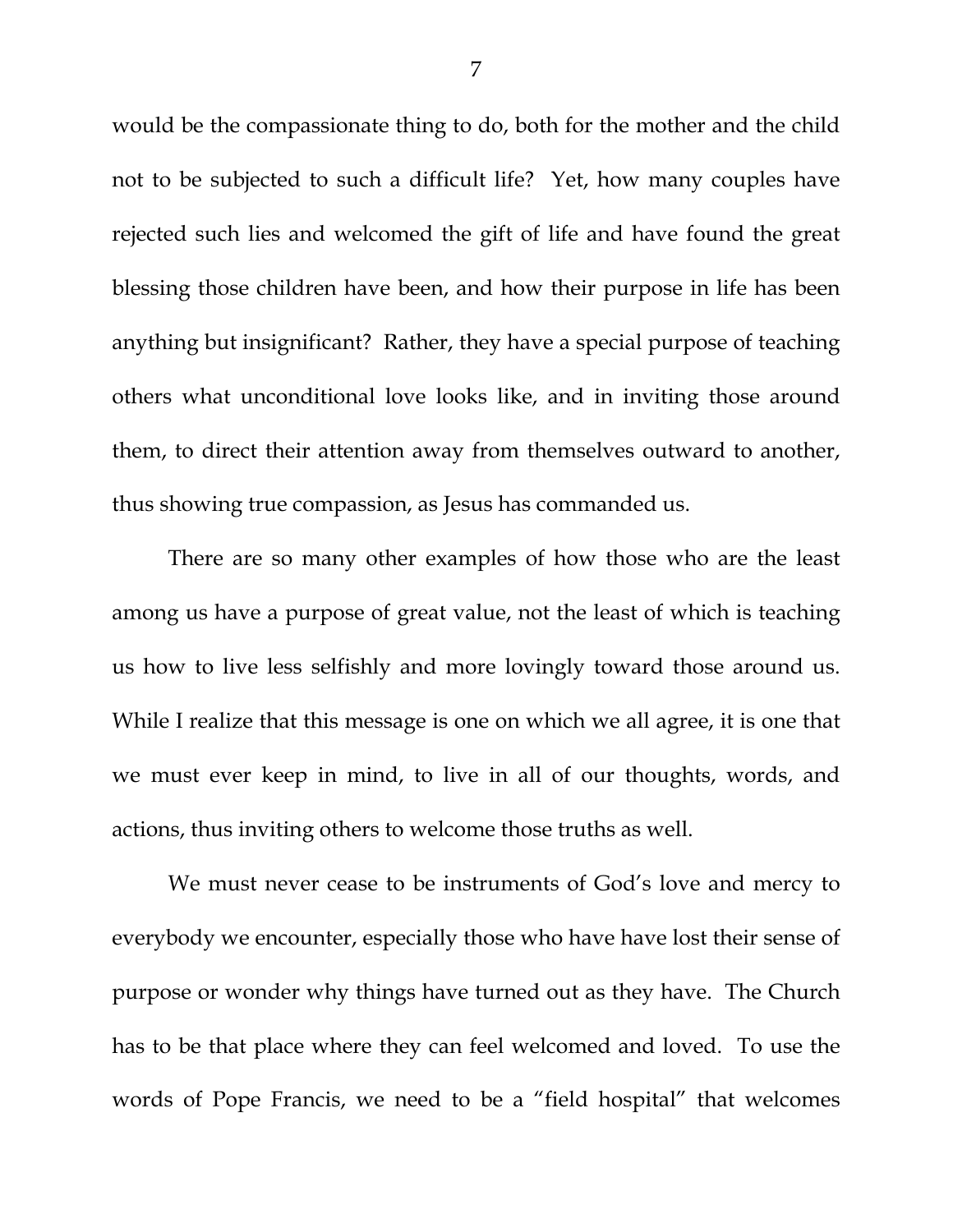would be the compassionate thing to do, both for the mother and the child not to be subjected to such a difficult life? Yet, how many couples have rejected such lies and welcomed the gift of life and have found the great blessing those children have been, and how their purpose in life has been anything but insignificant? Rather, they have a special purpose of teaching others what unconditional love looks like, and in inviting those around them, to direct their attention away from themselves outward to another, thus showing true compassion, as Jesus has commanded us.

 There are so many other examples of how those who are the least among us have a purpose of great value, not the least of which is teaching us how to live less selfishly and more lovingly toward those around us. While I realize that this message is one on which we all agree, it is one that we must ever keep in mind, to live in all of our thoughts, words, and actions, thus inviting others to welcome those truths as well.

 We must never cease to be instruments of God's love and mercy to everybody we encounter, especially those who have have lost their sense of purpose or wonder why things have turned out as they have. The Church has to be that place where they can feel welcomed and loved. To use the words of Pope Francis, we need to be a "field hospital" that welcomes